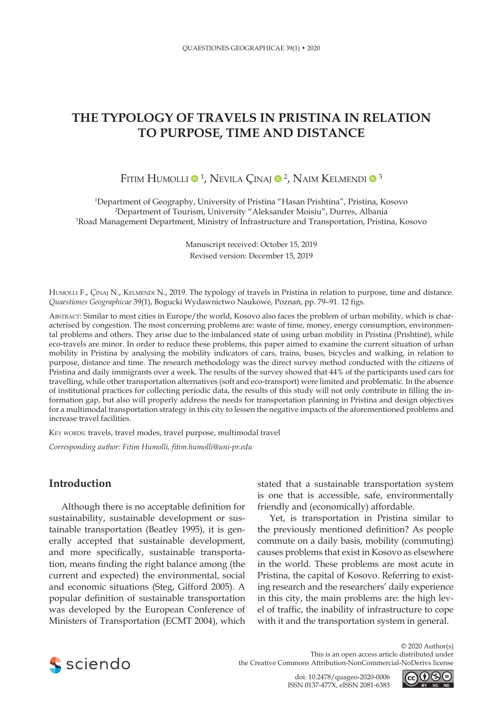# **THE TYPOLOGY OF TRAVELS IN PRISTINA IN RELATION TO PURPOSE, TIME AND DISTANCE**

# Fitim Humolli ® <sup>1</sup>, Nevila Çinaj ® <sup>2</sup>, Naim Kelmendi ® <sup>3</sup>

1 Department of Geography, University of Pristina "Hasan Prishtina", Pristina, Kosovo 2 Department of Tourism, University "Aleksander Moisiu", Durres, Albania 3 Road Management Department, [Ministry of Infrastructure and Transportation,](http://www.mit-ks.net/en/) Pristina, Kosovo

> Manuscript received: October 15, 2019 Revised version: December 15, 2019

HUMOLLI F., ÇINAJ N., KELMENDI N., 2019. The typology of travels in Pristina in relation to purpose, time and distance. *Quaestiones Geographicae* 39(1), Bogucki Wydawnictwo Naukowe, Poznań, pp. 79–91. 12 figs.

Abstract: Similar to most cities in Europe/the world, Kosovo also faces the problem of urban mobility, which is characterised by congestion. The most concerning problems are: waste of time, money, energy consumption, environmental problems and others. They arise due to the imbalanced state of using urban mobility in Pristina (Prishtinë), while eco-travels are minor. In order to reduce these problems, this paper aimed to examine the current situation of urban mobility in Pristina by analysing the mobility indicators of cars, trains, buses, bicycles and walking, in relation to purpose, distance and time. The research methodology was the direct survey method conducted with the citizens of Pristina and daily immigrants over a week. The results of the survey showed that 44% of the participants used cars for travelling, while other transportation alternatives (soft and eco-transport) were limited and problematic. In the absence of institutional practices for collecting periodic data, the results of this study will not only contribute in filling the information gap, but also will properly address the needs for transportation planning in Pristina and design objectives for a multimodal transportation strategy in this city to lessen the negative impacts of the aforementioned problems and increase travel facilities.

KEY WORDS: travels, travel modes, travel purpose, multimodal travel

*Corresponding author: Fitim Humolli, fitim.humolli@uni-pr.edu*

# **Introduction**

Although there is no acceptable definition for sustainability, sustainable development or sustainable transportation (Beatley 1995), it is generally accepted that sustainable development, and more specifically, sustainable transportation, means finding the right balance among (the current and expected) the environmental, social and economic situations (Steg, Gifford 2005). A popular definition of sustainable transportation was developed by the European Conference of Ministers of Transportation (ECMT 2004), which

stated that a sustainable transportation system is one that is accessible, safe, environmentally friendly and (economically) affordable.

Yet, is transportation in Pristina similar to the previously mentioned definition? As people commute on a daily basis, mobility (commuting) causes problems that exist in Kosovo as elsewhere in the world. These problems are most acute in Pristina, the capital of Kosovo. Referring to existing research and the researchers' daily experience in this city, the main problems are: the high level of traffic, the inability of infrastructure to cope with it and the transportation system in general.



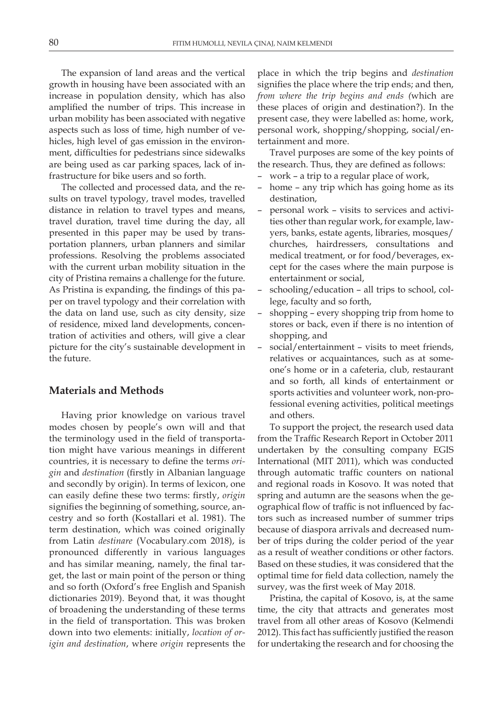The expansion of land areas and the vertical growth in housing have been associated with an increase in population density, which has also amplified the number of trips. This increase in urban mobility has been associated with negative aspects such as loss of time, high number of vehicles, high level of gas emission in the environment, difficulties for pedestrians since sidewalks are being used as car parking spaces, lack of infrastructure for bike users and so forth.

The collected and processed data, and the results on travel typology, travel modes, travelled distance in relation to travel types and means, travel duration, travel time during the day, all presented in this paper may be used by transportation planners, urban planners and similar professions. Resolving the problems associated with the current urban mobility situation in the city of Pristina remains a challenge for the future. As Pristina is expanding, the findings of this paper on travel typology and their correlation with the data on land use, such as city density, size of residence, mixed land developments, concentration of activities and others, will give a clear picture for the city's sustainable development in the future.

# **Materials and Methods**

Having prior knowledge on various travel modes chosen by people's own will and that the terminology used in the field of transportation might have various meanings in different countries, it is necessary to define the terms *origin* and *destination* (firstly in Albanian language and secondly by origin). In terms of lexicon, one can easily define these two terms: firstly, *origin* signifies the beginning of something, source, ancestry and so forth (Kostallari et al. 1981). The term destination, which was coined originally from Latin *destinare* (Vocabulary.com 2018), is pronounced differently in various languages and has similar meaning, namely, the final target, the last or main point of the person or thing and so forth (Oxford's free English and Spanish dictionaries 2019). Beyond that, it was thought of broadening the understanding of these terms in the field of transportation. This was broken down into two elements: initially, *location of origin and destination*, where *origin* represents the

place in which the trip begins and *destination* signifies the place where the trip ends; and then, *from where the trip begins and ends (*which are these places of origin and destination?). In the present case, they were labelled as: home, work, personal work, shopping/shopping, social/entertainment and more.

Travel purposes are some of the key points of the research. Thus, they are defined as follows:

- work a trip to a regular place of work,
- home any trip which has going home as its destination,
- personal work visits to services and activities other than regular work, for example, lawyers, banks, estate agents, libraries, mosques/ churches, hairdressers, consultations and medical treatment, or for food/beverages, except for the cases where the main purpose is entertainment or social,
- schooling/education all trips to school, college, faculty and so forth,
- shopping every shopping trip from home to stores or back, even if there is no intention of shopping, and
- social/entertainment visits to meet friends, relatives or acquaintances, such as at someone's home or in a cafeteria, club, restaurant and so forth, all kinds of entertainment or sports activities and volunteer work, non-professional evening activities, political meetings and others.

To support the project, the research used data from the Traffic Research Report in October 2011 undertaken by the consulting company EGIS International (MIT 2011), which was conducted through automatic traffic counters on national and regional roads in Kosovo. It was noted that spring and autumn are the seasons when the geographical flow of traffic is not influenced by factors such as increased number of summer trips because of diaspora arrivals and decreased number of trips during the colder period of the year as a result of weather conditions or other factors. Based on these studies, it was considered that the optimal time for field data collection, namely the survey, was the first week of May 2018.

Pristina, the capital of Kosovo, is, at the same time, the city that attracts and generates most travel from all other areas of Kosovo (Kelmendi 2012). This fact has sufficiently justified the reason for undertaking the research and for choosing the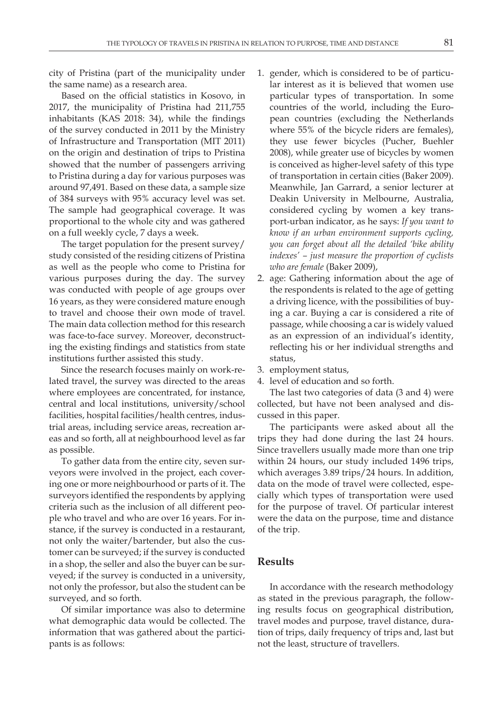city of Pristina (part of the municipality under the same name) as a research area.

Based on the official statistics in Kosovo, in 2017, the municipality of Pristina had 211,755 inhabitants (KAS 2018: 34), while the findings of the survey conducted in 2011 by the Ministry of Infrastructure and Transportation (MIT 2011) on the origin and destination of trips to Pristina showed that the number of passengers arriving to Pristina during a day for various purposes was around 97,491. Based on these data, a sample size of 384 surveys with 95% accuracy level was set. The sample had geographical coverage. It was proportional to the whole city and was gathered on a full weekly cycle, 7 days a week.

The target population for the present survey/ study consisted of the residing citizens of Pristina as well as the people who come to Pristina for various purposes during the day. The survey was conducted with people of age groups over 16 years, as they were considered mature enough to travel and choose their own mode of travel. The main data collection method for this research was face-to-face survey. Moreover, deconstructing the existing findings and statistics from state institutions further assisted this study.

Since the research focuses mainly on work-related travel, the survey was directed to the areas where employees are concentrated, for instance, central and local institutions, university/school facilities, hospital facilities/health centres, industrial areas, including service areas, recreation areas and so forth, all at neighbourhood level as far as possible.

To gather data from the entire city, seven surveyors were involved in the project, each covering one or more neighbourhood or parts of it. The surveyors identified the respondents by applying criteria such as the inclusion of all different people who travel and who are over 16 years. For instance, if the survey is conducted in a restaurant, not only the waiter/bartender, but also the customer can be surveyed; if the survey is conducted in a shop, the seller and also the buyer can be surveyed; if the survey is conducted in a university, not only the professor, but also the student can be surveyed, and so forth.

Of similar importance was also to determine what demographic data would be collected. The information that was gathered about the participants is as follows:

- 1. gender, which is considered to be of particular interest as it is believed that women use particular types of transportation. In some countries of the world, including the European countries (excluding the Netherlands where 55% of the bicycle riders are females), they use fewer bicycles (Pucher, Buehler 2008), while greater use of bicycles by women is conceived as higher-level safety of this type of transportation in certain cities (Baker 2009). Meanwhile, Jan Garrard, a senior lecturer at Deakin University in Melbourne, Australia, considered cycling by women a key transport-urban indicator, as he says: *If you want to know if an urban environment supports cycling, you can forget about all the detailed 'bike ability indexes' – just measure the proportion of cyclists who are female* (Baker 2009),
- 2. age: Gathering information about the age of the respondents is related to the age of getting a driving licence, with the possibilities of buying a car. Buying a car is considered a rite of passage, while choosing a car is widely valued as an expression of an individual's identity, reflecting his or her individual strengths and status,
- 3. employment status,
- 4. level of education and so forth.

The last two categories of data (3 and 4) were collected, but have not been analysed and discussed in this paper.

The participants were asked about all the trips they had done during the last 24 hours. Since travellers usually made more than one trip within 24 hours, our study included 1496 trips, which averages 3.89 trips/24 hours. In addition, data on the mode of travel were collected, especially which types of transportation were used for the purpose of travel. Of particular interest were the data on the purpose, time and distance of the trip.

## **Results**

In accordance with the research methodology as stated in the previous paragraph, the following results focus on geographical distribution, travel modes and purpose, travel distance, duration of trips, daily frequency of trips and, last but not the least, structure of travellers.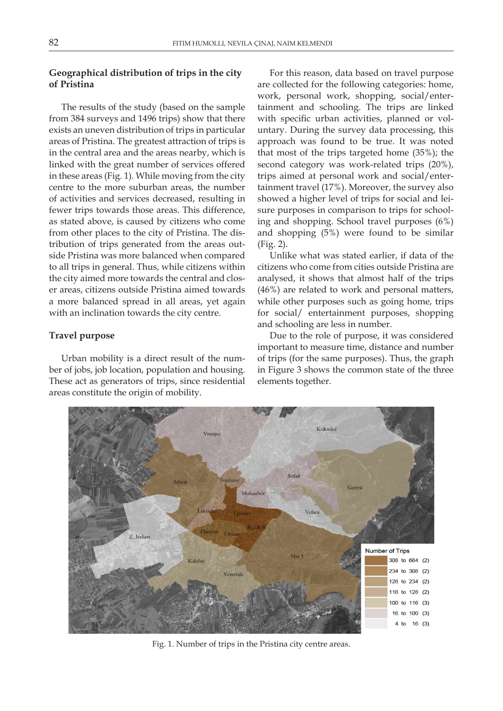## **Geographical distribution of trips in the city of Pristina**

The results of the study (based on the sample from 384 surveys and 1496 trips) show that there exists an uneven distribution of trips in particular areas of Pristina. The greatest attraction of trips is in the central area and the areas nearby, which is linked with the great number of services offered in these areas (Fig. 1). While moving from the city centre to the more suburban areas, the number of activities and services decreased, resulting in fewer trips towards those areas. This difference, as stated above, is caused by citizens who come from other places to the city of Pristina. The distribution of trips generated from the areas outside Pristina was more balanced when compared to all trips in general. Thus, while citizens within the city aimed more towards the central and closer areas, citizens outside Pristina aimed towards a more balanced spread in all areas, yet again with an inclination towards the city centre.

## **Travel purpose**

Urban mobility is a direct result of the number of jobs, job location, population and housing. These act as generators of trips, since residential areas constitute the origin of mobility.

For this reason, data based on travel purpose are collected for the following categories: home, work, personal work, shopping, social/entertainment and schooling. The trips are linked with specific urban activities, planned or voluntary. During the survey data processing, this approach was found to be true. It was noted that most of the trips targeted home (35%); the second category was work-related trips (20%), trips aimed at personal work and social/entertainment travel (17%). Moreover, the survey also showed a higher level of trips for social and leisure purposes in comparison to trips for schooling and shopping. School travel purposes (6%) and shopping (5%) were found to be similar (Fig. 2).

Unlike what was stated earlier, if data of the citizens who come from cities outside Pristina are analysed, it shows that almost half of the trips (46%) are related to work and personal matters, while other purposes such as going home, trips for social/ entertainment purposes, shopping and schooling are less in number.

Due to the role of purpose, it was considered important to measure time, distance and number of trips (for the same purposes). Thus, the graph in Figure 3 shows the common state of the three elements together.



Fig. 1. Number of trips in the Pristina city centre areas.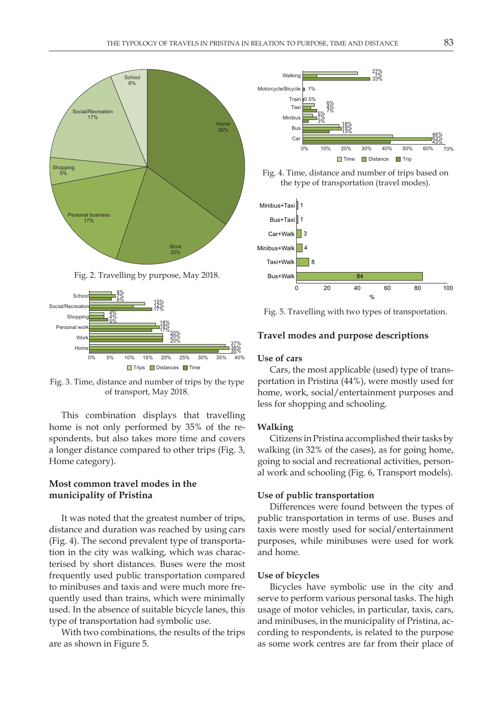

Fig. 2. Travelling by purpose, May 2018.



Fig. 3. Time, distance and number of trips by the type of transport, May 2018.

This combination displays that travelling home is not only performed by 35% of the respondents, but also takes more time and covers a longer distance compared to other trips (Fig. 3, Home category).

## **Most common travel modes in the municipality of Pristina**

It was noted that the greatest number of trips, distance and duration was reached by using cars (Fig. 4). The second prevalent type of transportation in the city was walking, which was characterised by short distances. Buses were the most frequently used public transportation compared to minibuses and taxis and were much more frequently used than trains, which were minimally used. In the absence of suitable bicycle lanes, this type of transportation had symbolic use.

With two combinations, the results of the trips are as shown in Figure 5.



Fig. 4. Time, distance and number of trips based on the type of transportation (travel modes).



Fig. 5. Travelling with two types of transportation.

#### **Travel modes and purpose descriptions**

## **Use of cars**

Cars, the most applicable (used) type of transportation in Pristina (44%), were mostly used for home, work, social/entertainment purposes and less for shopping and schooling.

#### **Walking**

Citizens in Pristina accomplished their tasks by walking (in 32% of the cases), as for going home, going to social and recreational activities, personal work and schooling (Fig. 6, Transport models).

#### **Use of public transportation**

Differences were found between the types of public transportation in terms of use. Buses and taxis were mostly used for social/entertainment purposes, while minibuses were used for work and home.

#### **Use of bicycles**

Bicycles have symbolic use in the city and serve to perform various personal tasks. The high usage of motor vehicles, in particular, taxis, cars, and minibuses, in the municipality of Pristina, according to respondents, is related to the purpose as some work centres are far from their place of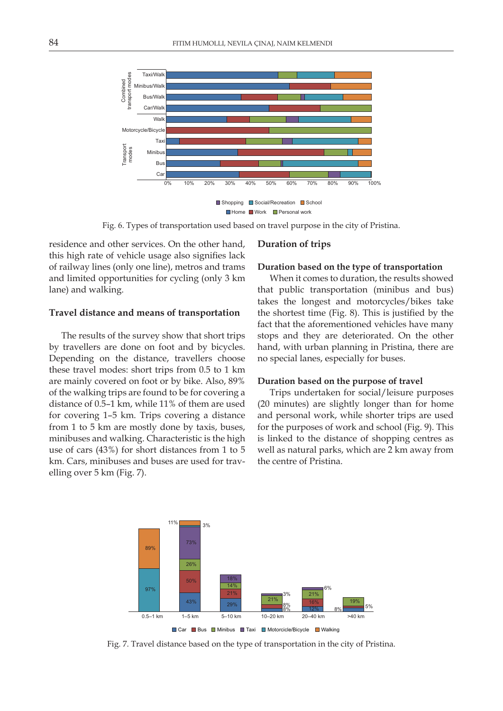

Fig. 6. Types of transportation used based on travel purpose in the city of Pristina.

residence and other services. On the other hand, this high rate of vehicle usage also signifies lack of railway lines (only one line), metros and trams and limited opportunities for cycling (only 3 km lane) and walking.

#### **Travel distance and means of transportation**

The results of the survey show that short trips by travellers are done on foot and by bicycles. Depending on the distance, travellers choose these travel modes: short trips from 0.5 to 1 km are mainly covered on foot or by bike. Also, 89% of the walking trips are found to be for covering a distance of 0.5–1 km, while 11% of them are used for covering 1–5 km. Trips covering a distance from 1 to 5 km are mostly done by taxis, buses, minibuses and walking. Characteristic is the high use of cars (43%) for short distances from 1 to 5 km. Cars, minibuses and buses are used for travelling over 5 km (Fig. 7).

#### **Duration of trips**

#### **Duration based on the type of transportation**

When it comes to duration, the results showed that public transportation (minibus and bus) takes the longest and motorcycles/bikes take the shortest time (Fig. 8). This is justified by the fact that the aforementioned vehicles have many stops and they are deteriorated. On the other hand, with urban planning in Pristina, there are no special lanes, especially for buses.

#### **Duration based on the purpose of travel**

Trips undertaken for social/leisure purposes (20 minutes) are slightly longer than for home and personal work, while shorter trips are used for the purposes of work and school (Fig. 9). This is linked to the distance of shopping centres as well as natural parks, which are 2 km away from the centre of Pristina.



Fig. 7. Travel distance based on the type of transportation in the city of Pristina.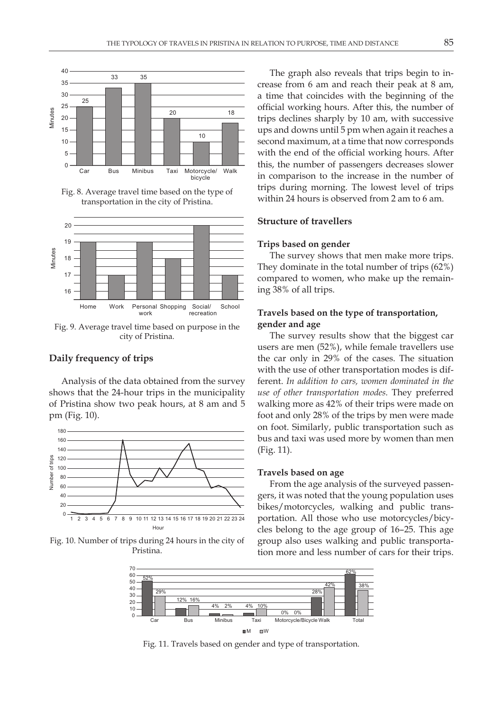

Fig. 8. Average travel time based on the type of transportation in the city of Pristina.



Fig. 9. Average travel time based on purpose in the city of Pristina.

## **Daily frequency of trips**

Analysis of the data obtained from the survey shows that the 24-hour trips in the municipality of Pristina show two peak hours, at 8 am and 5 pm (Fig. 10).



Fig. 10. Number of trips during 24 hours in the city of Pristina.

The graph also reveals that trips begin to increase from 6 am and reach their peak at 8 am, a time that coincides with the beginning of the official working hours. After this, the number of trips declines sharply by 10 am, with successive ups and downs until 5 pm when again it reaches a second maximum, at a time that now corresponds with the end of the official working hours. After this, the number of passengers decreases slower in comparison to the increase in the number of trips during morning. The lowest level of trips within 24 hours is observed from 2 am to 6 am.

### **Structure of travellers**

#### **Trips based on gender**

The survey shows that men make more trips. They dominate in the total number of trips (62%) compared to women, who make up the remaining 38% of all trips.

## **Travels based on the type of transportation, gender and age**

The survey results show that the biggest car users are men (52%), while female travellers use the car only in 29% of the cases. The situation with the use of other transportation modes is different. *In addition to cars, women dominated in the use of other transportation modes.* They preferred walking more as 42% of their trips were made on foot and only 28% of the trips by men were made on foot. Similarly, public transportation such as bus and taxi was used more by women than men (Fig. 11).

#### **Travels based on age**

From the age analysis of the surveyed passengers, it was noted that the young population uses bikes/motorcycles, walking and public transportation. All those who use motorcycles/bicycles belong to the age group of 16–25. This age group also uses walking and public transportation more and less number of cars for their trips.



Fig. 11. Travels based on gender and type of transportation.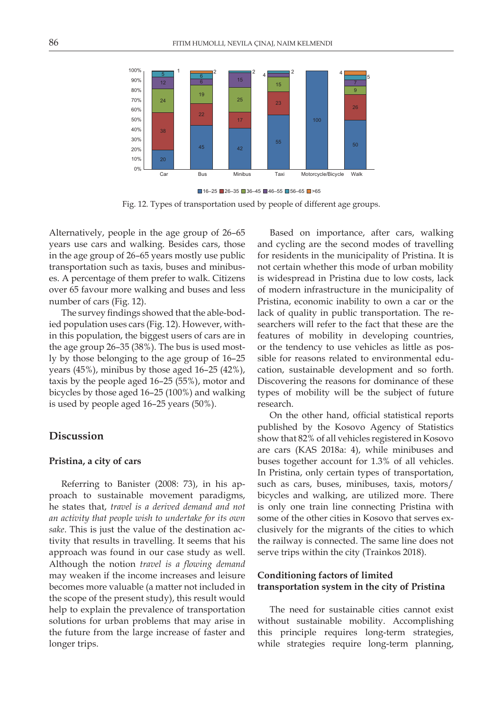

Fig. 12. Types of transportation used by people of different age groups.  $\blacksquare$  16–25  $\blacksquare$  26–35  $\blacksquare$  36–45  $\blacksquare$  46–55  $\blacksquare$  56–65  $\blacksquare$  >65

Alternatively, people in the age group of 26–65 years use cars and walking. Besides cars, those in the age group of 26–65 years mostly use public transportation such as taxis, buses and minibuses. A percentage of them prefer to walk. Citizens over 65 favour more walking and buses and less number of cars (Fig. 12).

The survey findings showed that the able-bodied population uses cars (Fig. 12). However, within this population, the biggest users of cars are in the age group 26–35 (38%). The bus is used mostly by those belonging to the age group of 16–25 years (45%), minibus by those aged 16–25 (42%), taxis by the people aged 16–25 (55%), motor and bicycles by those aged 16–25 (100%) and walking is used by people aged 16–25 years (50%).

# **Discussion**

### **Pristina, a city of cars**

Referring to Banister (2008: 73), in his approach to sustainable movement paradigms, he states that, *travel is a derived demand and not an activity that people wish to undertake for its own sake*. This is just the value of the destination activity that results in travelling. It seems that his approach was found in our case study as well. Although the notion *travel is a flowing demand* may weaken if the income increases and leisure becomes more valuable (a matter not included in the scope of the present study), this result would help to explain the prevalence of transportation solutions for urban problems that may arise in the future from the large increase of faster and longer trips.

Based on importance, after cars, walking and cycling are the second modes of travelling for residents in the municipality of Pristina. It is not certain whether this mode of urban mobility is widespread in Pristina due to low costs, lack of modern infrastructure in the municipality of Pristina, economic inability to own a car or the lack of quality in public transportation. The researchers will refer to the fact that these are the features of mobility in developing countries, or the tendency to use vehicles as little as possible for reasons related to environmental education, sustainable development and so forth. Discovering the reasons for dominance of these types of mobility will be the subject of future research.

On the other hand, official statistical reports published by the Kosovo Agency of Statistics show that 82% of all vehicles registered in Kosovo are cars (KAS 2018a: 4), while minibuses and buses together account for 1.3% of all vehicles. In Pristina, only certain types of transportation, such as cars, buses, minibuses, taxis, motors/ bicycles and walking, are utilized more. There is only one train line connecting Pristina with some of the other cities in Kosovo that serves exclusively for the migrants of the cities to which the railway is connected. The same line does not serve trips within the city (Trainkos 2018).

## **Conditioning factors of limited transportation system in the city of Pristina**

The need for sustainable cities cannot exist without sustainable mobility. Accomplishing this principle requires long-term strategies, while strategies require long-term planning,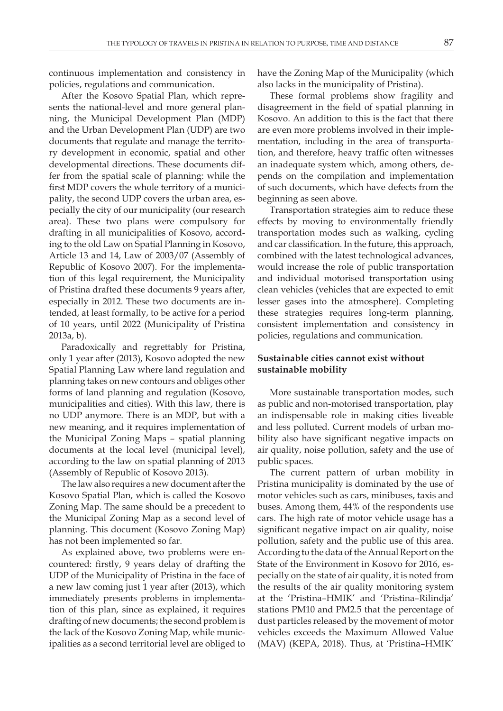continuous implementation and consistency in policies, regulations and communication.

After the Kosovo Spatial Plan, which represents the national-level and more general planning, the Municipal Development Plan (MDP) and the Urban Development Plan (UDP) are two documents that regulate and manage the territory development in economic, spatial and other developmental directions. These documents differ from the spatial scale of planning: while the first MDP covers the whole territory of a municipality, the second UDP covers the urban area, especially the city of our municipality (our research area). These two plans were compulsory for drafting in all municipalities of Kosovo, according to the old Law on Spatial Planning in Kosovo, Article 13 and 14, Law of 2003/07 (Assembly of Republic of Kosovo 2007). For the implementation of this legal requirement, the Municipality of Pristina drafted these documents 9 years after, especially in 2012. These two documents are intended, at least formally, to be active for a period of 10 years, until 2022 (Municipality of Pristina 2013a, b).

Paradoxically and regrettably for Pristina, only 1 year after (2013), Kosovo adopted the new Spatial Planning Law where land regulation and planning takes on new contours and obliges other forms of land planning and regulation (Kosovo, municipalities and cities). With this law, there is no UDP anymore. There is an MDP, but with a new meaning, and it requires implementation of the Municipal Zoning Maps – spatial planning documents at the local level (municipal level), according to the law on spatial planning of 2013 (Assembly of Republic of Kosovo 2013).

The law also requires a new document after the Kosovo Spatial Plan, which is called the Kosovo Zoning Map. The same should be a precedent to the Municipal Zoning Map as a second level of planning. This document (Kosovo Zoning Map) has not been implemented so far.

As explained above, two problems were encountered: firstly, 9 years delay of drafting the UDP of the Municipality of Pristina in the face of a new law coming just 1 year after (2013), which immediately presents problems in implementation of this plan, since as explained, it requires drafting of new documents; the second problem is the lack of the Kosovo Zoning Map, while municipalities as a second territorial level are obliged to

have the Zoning Map of the Municipality (which also lacks in the municipality of Pristina).

These formal problems show fragility and disagreement in the field of spatial planning in Kosovo. An addition to this is the fact that there are even more problems involved in their implementation, including in the area of transportation, and therefore, heavy traffic often witnesses an inadequate system which, among others, depends on the compilation and implementation of such documents, which have defects from the beginning as seen above.

Transportation strategies aim to reduce these effects by moving to environmentally friendly transportation modes such as walking, cycling and car classification. In the future, this approach, combined with the latest technological advances, would increase the role of public transportation and individual motorised transportation using clean vehicles (vehicles that are expected to emit lesser gases into the atmosphere). Completing these strategies requires long-term planning, consistent implementation and consistency in policies, regulations and communication.

## **Sustainable cities cannot exist without sustainable mobility**

More sustainable transportation modes, such as public and non-motorised transportation, play an indispensable role in making cities liveable and less polluted. Current models of urban mobility also have significant negative impacts on air quality, noise pollution, safety and the use of public spaces.

The current pattern of urban mobility in Pristina municipality is dominated by the use of motor vehicles such as cars, minibuses, taxis and buses. Among them, 44% of the respondents use cars. The high rate of motor vehicle usage has a significant negative impact on air quality, noise pollution, safety and the public use of this area. According to the data of the Annual Report on the State of the Environment in Kosovo for 2016, especially on the state of air quality, it is noted from the results of the air quality monitoring system at the 'Pristina–HMIK' and 'Pristina–Rilindja' stations PM10 and PM2.5 that the percentage of dust particles released by the movement of motor vehicles exceeds the Maximum Allowed Value (MAV) (KEPA, 2018). Thus, at 'Pristina–HMIK'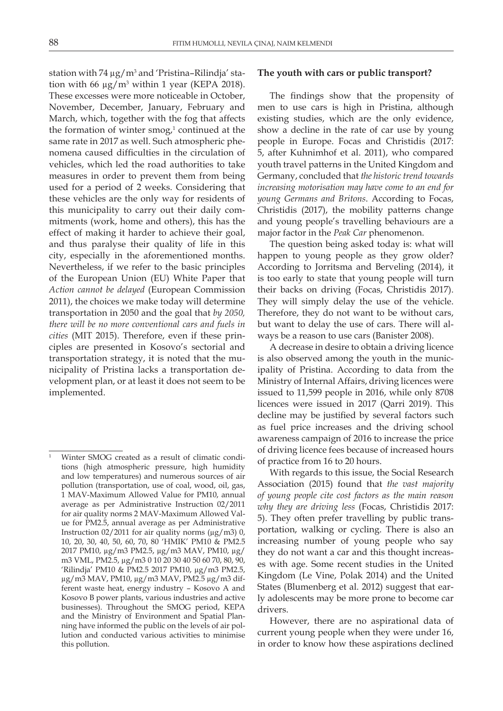station with 74 μg/m<sup>3</sup> and 'Pristina–Rilindja' station with 66  $\mu$ g/m<sup>3</sup> within 1 year (KEPA 2018). These excesses were more noticeable in October, November, December, January, February and March, which, together with the fog that affects the formation of winter  $\text{smog}^1$  continued at the same rate in 2017 as well. Such atmospheric phenomena caused difficulties in the circulation of vehicles, which led the road authorities to take measures in order to prevent them from being used for a period of 2 weeks. Considering that these vehicles are the only way for residents of this municipality to carry out their daily commitments (work, home and others), this has the effect of making it harder to achieve their goal, and thus paralyse their quality of life in this city, especially in the aforementioned months. Nevertheless, if we refer to the basic principles of the European Union (EU) White Paper that *Action cannot be delayed* (European Commission 2011), the choices we make today will determine transportation in 2050 and the goal that *by 2050, there will be no more conventional cars and fuels in cities* (MIT 2015). Therefore, even if these principles are presented in Kosovo's sectorial and transportation strategy, it is noted that the municipality of Pristina lacks a transportation development plan, or at least it does not seem to be implemented.

## **The youth with cars or public transport?**

The findings show that the propensity of men to use cars is high in Pristina, although existing studies, which are the only evidence, show a decline in the rate of car use by young people in Europe. Focas and Christidis (2017: 5, after Kuhnimhof et al. 2011), who compared youth travel patterns in the United Kingdom and Germany, concluded that *the historic trend towards increasing motorisation may have come to an end for young Germans and Britons*. According to Focas, Christidis (2017), the mobility patterns change and young people's travelling behaviours are a major factor in the *Peak Car* phenomenon.

The question being asked today is: what will happen to young people as they grow older? According to Jorritsma and Berveling (2014), it is too early to state that young people will turn their backs on driving (Focas, Christidis 2017). They will simply delay the use of the vehicle. Therefore, they do not want to be without cars, but want to delay the use of cars. There will always be a reason to use cars (Banister 2008).

A decrease in desire to obtain a driving licence is also observed among the youth in the municipality of Pristina. According to data from the Ministry of Internal Affairs, driving licences were issued to 11,599 people in 2016, while only 8708 licences were issued in 2017 (Qarri 2019). This decline may be justified by several factors such as fuel price increases and the driving school awareness campaign of 2016 to increase the price of driving licence fees because of increased hours of practice from 16 to 20 hours.

With regards to this issue, the Social Research Association (2015) found that *the vast majority of young people cite cost factors as the main reason why they are driving less* (Focas, Christidis 2017: 5). They often prefer travelling by public transportation, walking or cycling. There is also an increasing number of young people who say they do not want a car and this thought increases with age. Some recent studies in the United Kingdom (Le Vine, Polak 2014) and the United States (Blumenberg et al. 2012) suggest that early adolescents may be more prone to become car drivers.

However, there are no aspirational data of current young people when they were under 16, in order to know how these aspirations declined

Winter SMOG created as a result of climatic conditions (high atmospheric pressure, high humidity and low temperatures) and numerous sources of air pollution (transportation, use of coal, wood, oil, gas, 1 MAV-Maximum Allowed Value for PM10, annual average as per Administrative Instruction 02/2011 for air quality norms 2 MAV-Maximum Allowed Value for PM2.5, annual average as per Administrative Instruction  $02/2011$  for air quality norms ( $\mu$ g/m3) 0, 10, 20, 30, 40, 50, 60, 70, 80 'HMIK' PM10 & PM2.5 2017 PM10, µg/m3 PM2.5, µg/m3 MAV, PM10, µg/ m3 VML, PM2.5, µg/m3 0 10 20 30 40 50 60 70, 80, 90, 'Rilindja' PM10 & PM2.5 2017 PM10, µg/m3 PM2.5, µg/m3 MAV, PM10, µg/m3 MAV, PM2.5 µg/m3 different waste heat, energy industry – Kosovo A and Kosovo B power plants, various industries and active businesses). Throughout the SMOG period, KEPA and the Ministry of Environment and Spatial Planning have informed the public on the levels of air pollution and conducted various activities to minimise this pollution.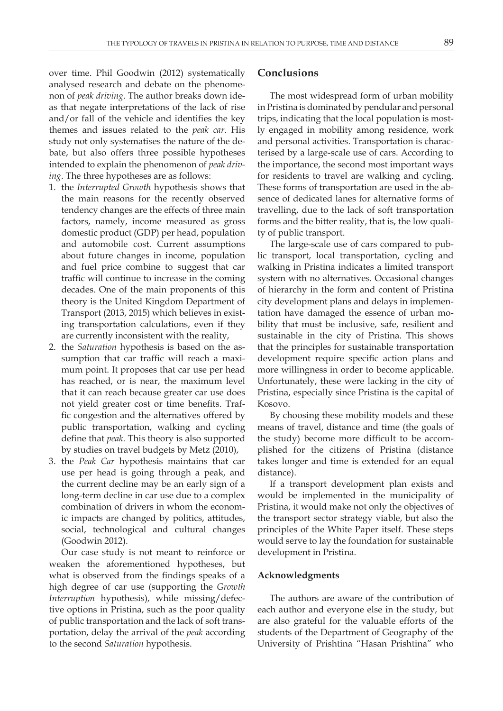over time. Phil Goodwin (2012) systematically analysed research and debate on the phenomenon of *peak driving*. The author breaks down ideas that negate interpretations of the lack of rise and/or fall of the vehicle and identifies the key themes and issues related to the *peak car*. His study not only systematises the nature of the debate, but also offers three possible hypotheses intended to explain the phenomenon of *peak driving*. The three hypotheses are as follows:

- 1. the *Interrupted Growth* hypothesis shows that the main reasons for the recently observed tendency changes are the effects of three main factors, namely, income measured as gross domestic product (GDP) per head, population and automobile cost. Current assumptions about future changes in income, population and fuel price combine to suggest that car traffic will continue to increase in the coming decades. One of the main proponents of this theory is the United Kingdom Department of Transport (2013, 2015) which believes in existing transportation calculations, even if they are currently inconsistent with the reality,
- 2. the *Saturation* hypothesis is based on the assumption that car traffic will reach a maximum point. It proposes that car use per head has reached, or is near, the maximum level that it can reach because greater car use does not yield greater cost or time benefits. Traffic congestion and the alternatives offered by public transportation, walking and cycling define that *peak*. This theory is also supported by studies on travel budgets by Metz (2010),
- 3. the *Peak Car* hypothesis maintains that car use per head is going through a peak, and the current decline may be an early sign of a long-term decline in car use due to a complex combination of drivers in whom the economic impacts are changed by politics, attitudes, social, technological and cultural changes (Goodwin 2012).

Our case study is not meant to reinforce or weaken the aforementioned hypotheses, but what is observed from the findings speaks of a high degree of car use (supporting the *Growth Interruption* hypothesis), while missing/defective options in Pristina, such as the poor quality of public transportation and the lack of soft transportation, delay the arrival of the *peak* according to the second *Saturation* hypothesis.

# **Conclusions**

The most widespread form of urban mobility in Pristina is dominated by pendular and personal trips, indicating that the local population is mostly engaged in mobility among residence, work and personal activities. Transportation is characterised by a large-scale use of cars. According to the importance, the second most important ways for residents to travel are walking and cycling. These forms of transportation are used in the absence of dedicated lanes for alternative forms of travelling, due to the lack of soft transportation forms and the bitter reality, that is, the low quality of public transport.

The large-scale use of cars compared to public transport, local transportation, cycling and walking in Pristina indicates a limited transport system with no alternatives. Occasional changes of hierarchy in the form and content of Pristina city development plans and delays in implementation have damaged the essence of urban mobility that must be inclusive, safe, resilient and sustainable in the city of Pristina. This shows that the principles for sustainable transportation development require specific action plans and more willingness in order to become applicable. Unfortunately, these were lacking in the city of Pristina, especially since Pristina is the capital of Kosovo.

By choosing these mobility models and these means of travel, distance and time (the goals of the study) become more difficult to be accomplished for the citizens of Pristina (distance takes longer and time is extended for an equal distance).

If a transport development plan exists and would be implemented in the municipality of Pristina, it would make not only the objectives of the transport sector strategy viable, but also the principles of the White Paper itself. These steps would serve to lay the foundation for sustainable development in Pristina.

#### **Acknowledgments**

The authors are aware of the contribution of each author and everyone else in the study, but are also grateful for the valuable efforts of the students of the Department of Geography of the University of Prishtina "Hasan Prishtina" who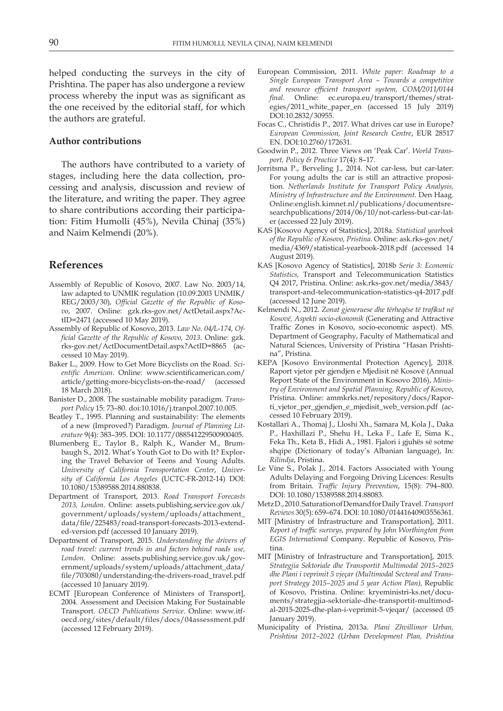helped conducting the surveys in the city of Prishtina. The paper has also undergone a review process whereby the input was as significant as the one received by the editorial staff, for which the authors are grateful.

#### **Author contributions**

The authors have contributed to a variety of stages, including here the data collection, processing and analysis, discussion and review of the literature, and writing the paper. They agree to share contributions according their participation: Fitim Humolli (45%), Nevila Chinaj (35%) and Naim Kelmendi (20%).

# **References**

- Assembly of Republic of Kosovo, 2007. Law No. 2003/14, law adapted to UNMIK regulation (10.09.2003 UNMIK/ REG/2003/30), *Official Gazette of the Republic of Kosovo*, 2007. Online: gzk.rks-gov.net/ActDetail.aspx?ActID=2471 (accessed 10 May 2019).
- Assembly of Republic of Kosovo, 2013. *Law No. 04/L-174, Official Gazette of the Republic of Kosovo, 2013*. Online: gzk. rks-gov.net/ActDocumentDetail.aspx?ActID=8865 (accessed 10 May 2019).
- Baker L., 2009. How to Get More Bicyclists on the Road. *Scientific American*. Online: www.scientificamerican.com/ article/getting-more-bicyclists-on-the-road/ (accessed 18 March 2018).
- Banister D., 2008. The sustainable mobility paradigm. *Transport Policy* 15: 73–80. doi:10.1016/j.tranpol.2007.10.005.
- Beatley T., 1995. Planning and sustainability: The elements of a new (Improved?) Paradigm. *Journal of Planning Literature* 9(4): 383–395. DOI: 10.1177/088541229500900405.
- Blumenberg E., Taylor B., Ralph K., Wander M., Brumbaugh S., 2012. What's Youth Got to Do with It? Exploring the Travel Behavior of Teens and Young Adults. *University of California Transportation Center*, *University of California Los Angeles* (UCTC-FR-2012-14) DOI: 10.1080/15389588.2014.880838.
- Department of Transport, 2013. *Road Transport Forecasts 2013, London*. Online: assets.publishing.service.gov.uk/ government/uploads/system/uploads/attachment\_ data/file/225483/road-transport-forecasts-2013-extended-version.pdf (accessed 10 January 2019).
- Department of Transport, 2015. *Understanding the drivers of road travel: current trends in and factors behind roads use, London*. Online: assets.publishing.service.gov.uk/government/uploads/system/uploads/attachment\_data/ file/703080/understanding-the-drivers-road\_travel.pdf (accessed 10 January 2019).
- ECMT [European Conference of Ministers of Transport], 2004. Assessment and Decision Making For Sustainable Transport. *OECD Publications Service*. Online: www.itfoecd.org/sites/default/files/docs/04assessment.pdf (accessed 12 February 2019).
- European Commission, 2011. *White paper: Roadmap to a Single European Transport Area – Towards a competitive and resource efficient transport system, COM/2011/0144 final*. Online: [ec.europa.eu/transport/themes/strat](https://ec.europa.eu/transport/themes/strategies/2011_white_paper_en)[egies/2011\\_white\\_paper\\_en](https://ec.europa.eu/transport/themes/strategies/2011_white_paper_en) (accessed 15 July 2019) DOI:10.2832/30955.
- Focas C., Christidis P., 2017. What drives car use in Europe? *European Commission, Joint Research Centre*, EUR 28517 EN. DOI:10.2760/172631.
- Goodwin P., 2012. Three Views on 'Peak Car'. *World Transport, Policy & Practice* 17(4): 8–17.
- Jorritsma P., Berveling J., 2014. Not car-less, but car-later: For young adults the car is still an attractive proposition. *Netherlands Institute for Transport Policy Analysis, Ministry of Infrastructure and the Environment.* Den Haag. Online:english.kimnet.nl/publications/documentsresearchpublications/2014/06/10/not-carless-but-car-later (accessed 22 July 2019).
- KAS [Kosovo Agency of Statistics], 2018a. *Statistical yearbook of the Republic of Kosovo, Pristina*. Online: ask.rks-gov.net/ media/4369/statistical-yearbook-2018.pdf (accessed 14 August 2019).
- KAS [Kosovo Agency of Statistics], 2018b *Serie 3: Economic Statistics,* Transport and Telecommunication Statistics Q4 2017, Pristina. Online: ask.rks-gov.net/media/3843/ transport-and-telecommunication-statistics-q4-2017.pdf (accessed 12 June 2019).
- Kelmendi N., 2012. *Zonat gjeneruese dhe tërheqëse të trafikut në Kosovë, Aspekti socio-ekonomik* (Generating and Attractive Traffic Zones in Kosovo, socio-economic aspect). MS. Department of Geography, Faculty of Mathematical and Natural Sciences, University of Pristina "Hasan Prishtina", Pristina.
- KEPA [Kosovo Environmental Protection Agency], 2018. Raport vjetor për gjendjen e Mjedisit në Kosovë (Annual Report State of the Environment in Kosovo 2016), *Ministry of Environment and Spatial Planning, Republic of Kosovo*, Pristina. Online: ammkrks.net/repository/docs/Raporti\_vjetor\_per\_gjendjen\_e\_mjedisit\_web\_version.pdf (accessed 10 February 2019).
- Kostallari A., Thomaj J., Lloshi Xh., Samara M, Kola J., Daka P., Haxhillazi P., Shehu H., Leka F., Lafe E, Sima K., Feka Th., Keta B., Hidi A., 1981. Fjalori i gjuhës së sotme shqipe (Dictionary of today's Albanian language), In: *Rilindja*, Pristina.
- Le Vine S., Polak J., 2014. Factors Associated with Young Adults Delaying and Forgoing Driving Licences: Results from Britain. *Traffic Injury Prevention*, 15(8): 794–800. DOI: 10.1080/15389588.2014.88083.
- Metz D., 2010. Saturation of Demand for Daily Travel. *Transport Reviews* 30(5): 659–674. DOI: 10.1080/01441640903556361.
- MIT [Ministry of Infrastructure and Transportation], 2011. *Report of traffic surveys, prepared by John Worthington from EGIS International* Company. Republic of Kosovo, Pristina.
- MIT [\[Ministry of Infrastructure and Transportation\]](http://www.mit-ks.net/en/), 2015. *Strategjia Sektoriale dhe Transportit Multimodal 2015–2025 dhe Plani i veprimit 5 vjeçar (Multimodal Sectoral and Transport Strategy 2015–2025 and 5 year Action Plan),* Republic of Kosovo, Pristina. Online: kryeministri-ks.net/documents/strategjia-sektoriale-dhe-transportit-multimodal-2015-2025-dhe-plan-i-veprimit-5-vjeqar/ (accessed 05 January 2019).
- Municipality of Pristina, 2013a. *Plani Zhvillimor Urban, Prishtina 2012–2022 (Urban Development Plan, Prishtina*